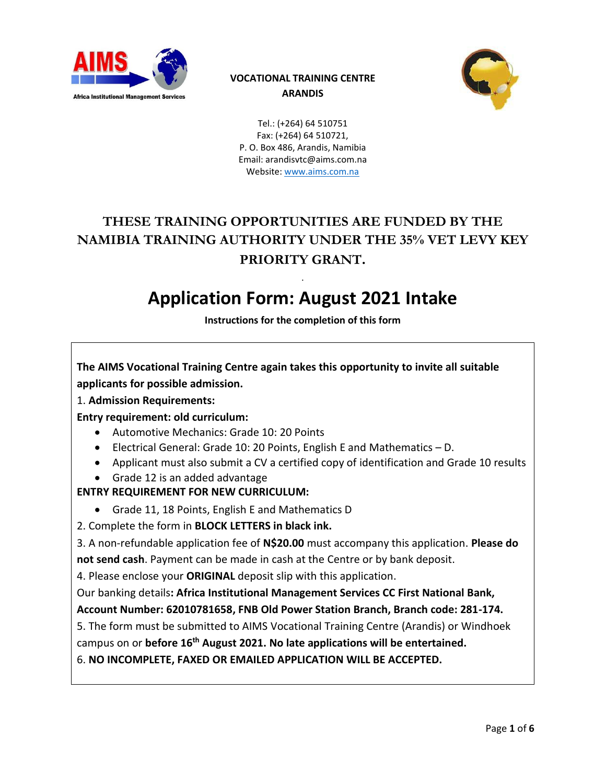

## **VOCATIONAL TRAINING CENTRE ARANDIS**



Tel.: (+264) 64 510751 Fax: (+264) 64 510721, P. O. Box 486, Arandis, Namibia Email: arandisvtc@aims.com.na Website[: www.aims.com.na](http://www.aims.com.na/)

# **THESE TRAINING OPPORTUNITIES ARE FUNDED BY THE NAMIBIA TRAINING AUTHORITY UNDER THE 35% VET LEVY KEY PRIORITY GRANT.**

# . **Application Form: August 2021 Intake**

**Instructions for the completion of this form**

**The AIMS Vocational Training Centre again takes this opportunity to invite all suitable applicants for possible admission.**

1. **Admission Requirements:**

**Entry requirement: old curriculum:**

- Automotive Mechanics: Grade 10: 20 Points
- Electrical General: Grade 10: 20 Points, English E and Mathematics D.
- Applicant must also submit a CV a certified copy of identification and Grade 10 results
- Grade 12 is an added advantage

## **ENTRY REQUIREMENT FOR NEW CURRICULUM:**

- Grade 11, 18 Points, English E and Mathematics D
- 2. Complete the form in **BLOCK LETTERS in black ink.**

3. A non-refundable application fee of **N\$20.00** must accompany this application. **Please do** 

**not send cash**. Payment can be made in cash at the Centre or by bank deposit.

4. Please enclose your **ORIGINAL** deposit slip with this application.

Our banking details**: Africa Institutional Management Services CC First National Bank, Account Number: 62010781658, FNB Old Power Station Branch, Branch code: 281-174.**

5. The form must be submitted to AIMS Vocational Training Centre (Arandis) or Windhoek

campus on or **before 16th August 2021. No late applications will be entertained.**

6. **NO INCOMPLETE, FAXED OR EMAILED APPLICATION WILL BE ACCEPTED.**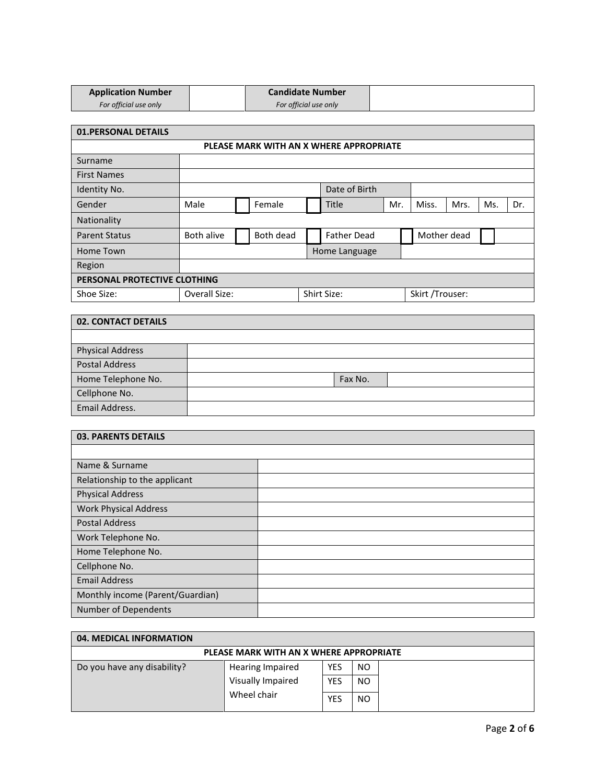| <b>Application Number</b> | <b>Candidate Number</b> |
|---------------------------|-------------------------|
| For official use only     | For official use only   |

| <b>01.PERSONAL DETAILS</b>              |                              |  |           |  |                    |                 |  |             |      |     |     |
|-----------------------------------------|------------------------------|--|-----------|--|--------------------|-----------------|--|-------------|------|-----|-----|
| PLEASE MARK WITH AN X WHERE APPROPRIATE |                              |  |           |  |                    |                 |  |             |      |     |     |
| Surname                                 |                              |  |           |  |                    |                 |  |             |      |     |     |
| <b>First Names</b>                      |                              |  |           |  |                    |                 |  |             |      |     |     |
| Identity No.                            |                              |  |           |  | Date of Birth      |                 |  |             |      |     |     |
| Gender                                  | Male                         |  | Female    |  | <b>Title</b>       | Mr.             |  | Miss.       | Mrs. | Ms. | Dr. |
| Nationality                             |                              |  |           |  |                    |                 |  |             |      |     |     |
| <b>Parent Status</b>                    | Both alive                   |  | Both dead |  | <b>Father Dead</b> |                 |  | Mother dead |      |     |     |
| Home Town                               |                              |  |           |  | Home Language      |                 |  |             |      |     |     |
| Region                                  |                              |  |           |  |                    |                 |  |             |      |     |     |
| PERSONAL PROTECTIVE CLOTHING            |                              |  |           |  |                    |                 |  |             |      |     |     |
| Shoe Size:                              | Overall Size:<br>Shirt Size: |  |           |  |                    | Skirt /Trouser: |  |             |      |     |     |

| <b>02. CONTACT DETAILS</b> |  |         |  |  |  |  |  |
|----------------------------|--|---------|--|--|--|--|--|
|                            |  |         |  |  |  |  |  |
| <b>Physical Address</b>    |  |         |  |  |  |  |  |
| <b>Postal Address</b>      |  |         |  |  |  |  |  |
| Home Telephone No.         |  | Fax No. |  |  |  |  |  |
| Cellphone No.              |  |         |  |  |  |  |  |
| Email Address.             |  |         |  |  |  |  |  |

| <b>03. PARENTS DETAILS</b>       |  |  |  |  |  |
|----------------------------------|--|--|--|--|--|
|                                  |  |  |  |  |  |
| Name & Surname                   |  |  |  |  |  |
| Relationship to the applicant    |  |  |  |  |  |
| <b>Physical Address</b>          |  |  |  |  |  |
| <b>Work Physical Address</b>     |  |  |  |  |  |
| <b>Postal Address</b>            |  |  |  |  |  |
| Work Telephone No.               |  |  |  |  |  |
| Home Telephone No.               |  |  |  |  |  |
| Cellphone No.                    |  |  |  |  |  |
| <b>Email Address</b>             |  |  |  |  |  |
| Monthly income (Parent/Guardian) |  |  |  |  |  |
| Number of Dependents             |  |  |  |  |  |

| 04. MEDICAL INFORMATION                 |                         |            |                |  |  |  |  |
|-----------------------------------------|-------------------------|------------|----------------|--|--|--|--|
| PLEASE MARK WITH AN X WHERE APPROPRIATE |                         |            |                |  |  |  |  |
| Do you have any disability?             | <b>Hearing Impaired</b> | <b>YES</b> | NO             |  |  |  |  |
|                                         | Visually Impaired       | <b>YES</b> | NO             |  |  |  |  |
|                                         | Wheel chair             | YES        | N <sub>O</sub> |  |  |  |  |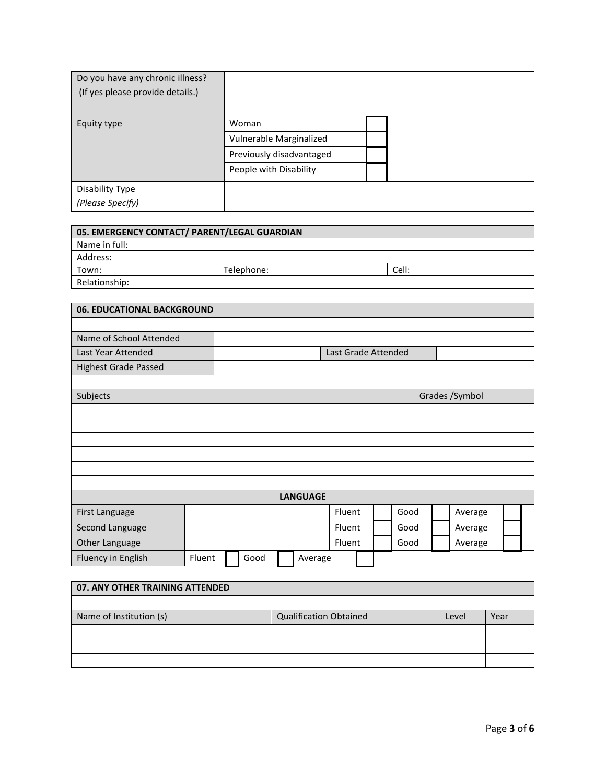| Do you have any chronic illness? |                          |  |
|----------------------------------|--------------------------|--|
| (If yes please provide details.) |                          |  |
|                                  |                          |  |
| Equity type                      | Woman                    |  |
|                                  | Vulnerable Marginalized  |  |
|                                  | Previously disadvantaged |  |
|                                  | People with Disability   |  |
| Disability Type                  |                          |  |
| (Please Specify)                 |                          |  |

| 05. EMERGENCY CONTACT/ PARENT/LEGAL GUARDIAN |            |       |  |  |  |  |  |
|----------------------------------------------|------------|-------|--|--|--|--|--|
| Name in full:                                |            |       |  |  |  |  |  |
| Address:                                     |            |       |  |  |  |  |  |
| Town:                                        | Telephone: | Cell: |  |  |  |  |  |
| Relationship:                                |            |       |  |  |  |  |  |

| 06. EDUCATIONAL BACKGROUND  |        |  |      |  |                 |                     |  |      |      |         |                |  |  |
|-----------------------------|--------|--|------|--|-----------------|---------------------|--|------|------|---------|----------------|--|--|
|                             |        |  |      |  |                 |                     |  |      |      |         |                |  |  |
| Name of School Attended     |        |  |      |  |                 |                     |  |      |      |         |                |  |  |
| Last Year Attended          |        |  |      |  |                 | Last Grade Attended |  |      |      |         |                |  |  |
| <b>Highest Grade Passed</b> |        |  |      |  |                 |                     |  |      |      |         |                |  |  |
|                             |        |  |      |  |                 |                     |  |      |      |         |                |  |  |
| Subjects                    |        |  |      |  |                 |                     |  |      |      |         | Grades /Symbol |  |  |
|                             |        |  |      |  |                 |                     |  |      |      |         |                |  |  |
|                             |        |  |      |  |                 |                     |  |      |      |         |                |  |  |
|                             |        |  |      |  |                 |                     |  |      |      |         |                |  |  |
|                             |        |  |      |  |                 |                     |  |      |      |         |                |  |  |
|                             |        |  |      |  |                 |                     |  |      |      |         |                |  |  |
|                             |        |  |      |  |                 |                     |  |      |      |         |                |  |  |
|                             |        |  |      |  | <b>LANGUAGE</b> |                     |  |      |      |         |                |  |  |
| First Language              |        |  |      |  |                 | Fluent              |  |      | Good |         | Average        |  |  |
| Second Language             |        |  |      |  |                 | Fluent              |  | Good |      | Average |                |  |  |
| Other Language              |        |  |      |  | Fluent          |                     |  | Good |      | Average |                |  |  |
| Fluency in English          | Fluent |  | Good |  | Average         |                     |  |      |      |         |                |  |  |

| 07. ANY OTHER TRAINING ATTENDED |                               |       |      |  |  |  |  |
|---------------------------------|-------------------------------|-------|------|--|--|--|--|
|                                 |                               |       |      |  |  |  |  |
| Name of Institution (s)         | <b>Qualification Obtained</b> | Level | Year |  |  |  |  |
|                                 |                               |       |      |  |  |  |  |
|                                 |                               |       |      |  |  |  |  |
|                                 |                               |       |      |  |  |  |  |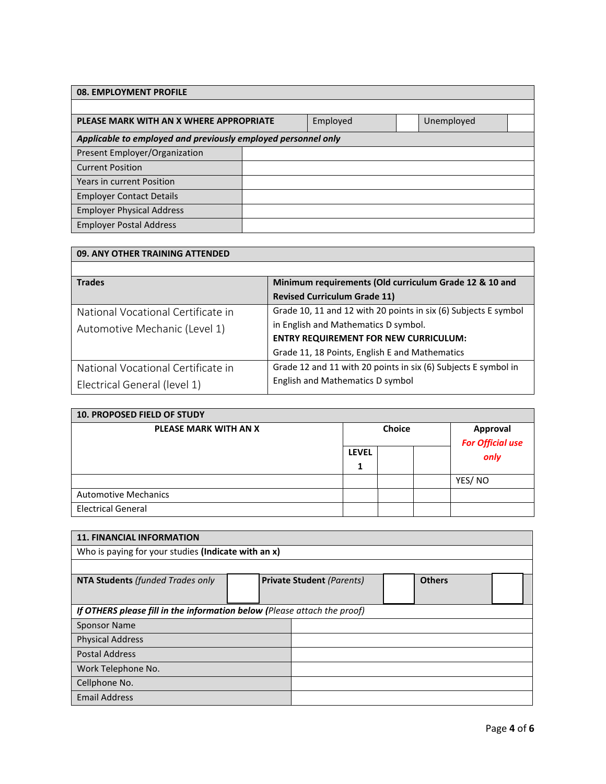| 08. EMPLOYMENT PROFILE                                        |  |          |  |            |  |  |  |
|---------------------------------------------------------------|--|----------|--|------------|--|--|--|
|                                                               |  |          |  |            |  |  |  |
| PLEASE MARK WITH AN X WHERE APPROPRIATE                       |  | Employed |  | Unemployed |  |  |  |
| Applicable to employed and previously employed personnel only |  |          |  |            |  |  |  |
| Present Employer/Organization                                 |  |          |  |            |  |  |  |
| <b>Current Position</b>                                       |  |          |  |            |  |  |  |
| <b>Years in current Position</b>                              |  |          |  |            |  |  |  |
| <b>Employer Contact Details</b>                               |  |          |  |            |  |  |  |
| <b>Employer Physical Address</b>                              |  |          |  |            |  |  |  |
| <b>Employer Postal Address</b>                                |  |          |  |            |  |  |  |

| 09. ANY OTHER TRAINING ATTENDED    |                                                                 |  |  |  |  |  |  |
|------------------------------------|-----------------------------------------------------------------|--|--|--|--|--|--|
|                                    |                                                                 |  |  |  |  |  |  |
| <b>Trades</b>                      | Minimum requirements (Old curriculum Grade 12 & 10 and          |  |  |  |  |  |  |
|                                    | <b>Revised Curriculum Grade 11)</b>                             |  |  |  |  |  |  |
| National Vocational Certificate in | Grade 10, 11 and 12 with 20 points in six (6) Subjects E symbol |  |  |  |  |  |  |
| Automotive Mechanic (Level 1)      | in English and Mathematics D symbol.                            |  |  |  |  |  |  |
|                                    | <b>ENTRY REQUIREMENT FOR NEW CURRICULUM:</b>                    |  |  |  |  |  |  |
|                                    | Grade 11, 18 Points, English E and Mathematics                  |  |  |  |  |  |  |
| National Vocational Certificate in | Grade 12 and 11 with 20 points in six (6) Subjects E symbol in  |  |  |  |  |  |  |
| Electrical General (level 1)       | English and Mathematics D symbol                                |  |  |  |  |  |  |

| <b>10. PROPOSED FIELD OF STUDY</b> |              |  |                                                                     |        |  |  |  |
|------------------------------------|--------------|--|---------------------------------------------------------------------|--------|--|--|--|
| PLEASE MARK WITH AN X              |              |  | <b>Approval</b><br><b>For Official use</b><br>$\sum_{n=1}^{\infty}$ |        |  |  |  |
|                                    | <b>LEVEL</b> |  |                                                                     |        |  |  |  |
|                                    | 1            |  |                                                                     |        |  |  |  |
|                                    |              |  |                                                                     | YES/NO |  |  |  |
| <b>Automotive Mechanics</b>        |              |  |                                                                     |        |  |  |  |
| <b>Electrical General</b>          |              |  |                                                                     |        |  |  |  |

| <b>11. FINANCIAL INFORMATION</b>                                         |  |                                  |               |  |  |  |  |
|--------------------------------------------------------------------------|--|----------------------------------|---------------|--|--|--|--|
| Who is paying for your studies (Indicate with an x)                      |  |                                  |               |  |  |  |  |
|                                                                          |  |                                  |               |  |  |  |  |
| <b>NTA Students (funded Trades only</b>                                  |  | <b>Private Student (Parents)</b> | <b>Others</b> |  |  |  |  |
|                                                                          |  |                                  |               |  |  |  |  |
| If OTHERS please fill in the information below (Please attach the proof) |  |                                  |               |  |  |  |  |
| <b>Sponsor Name</b>                                                      |  |                                  |               |  |  |  |  |
| <b>Physical Address</b>                                                  |  |                                  |               |  |  |  |  |
| <b>Postal Address</b>                                                    |  |                                  |               |  |  |  |  |
| Work Telephone No.                                                       |  |                                  |               |  |  |  |  |
| Cellphone No.                                                            |  |                                  |               |  |  |  |  |
| <b>Email Address</b>                                                     |  |                                  |               |  |  |  |  |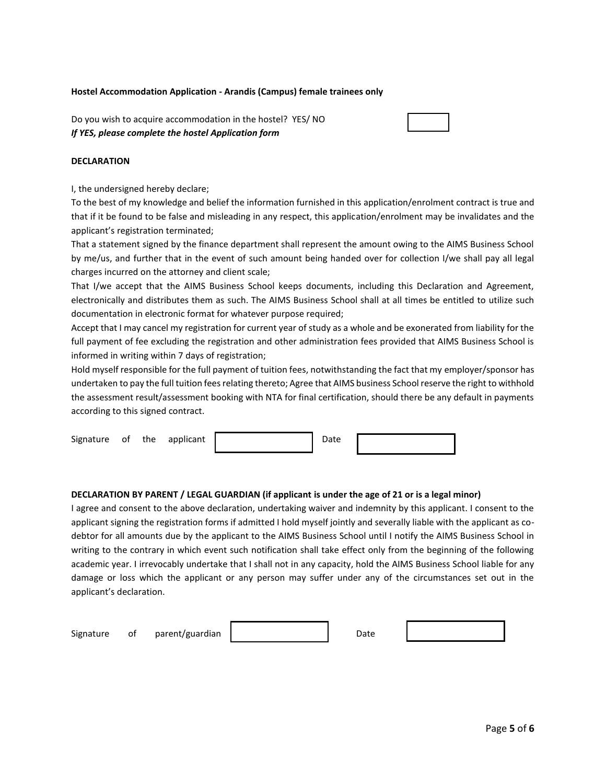#### **Hostel Accommodation Application - Arandis (Campus) female trainees only**

Do you wish to acquire accommodation in the hostel? YES/ NO *If YES, please complete the hostel Application form*

#### **DECLARATION**

I, the undersigned hereby declare;

To the best of my knowledge and belief the information furnished in this application/enrolment contract is true and that if it be found to be false and misleading in any respect, this application/enrolment may be invalidates and the applicant's registration terminated;

That a statement signed by the finance department shall represent the amount owing to the AIMS Business School by me/us, and further that in the event of such amount being handed over for collection I/we shall pay all legal charges incurred on the attorney and client scale;

That I/we accept that the AIMS Business School keeps documents, including this Declaration and Agreement, electronically and distributes them as such. The AIMS Business School shall at all times be entitled to utilize such documentation in electronic format for whatever purpose required;

Accept that I may cancel my registration for current year of study as a whole and be exonerated from liability for the full payment of fee excluding the registration and other administration fees provided that AIMS Business School is informed in writing within 7 days of registration;

Hold myself responsible for the full payment of tuition fees, notwithstanding the fact that my employer/sponsor has undertaken to pay the full tuition fees relating thereto; Agree that AIMS business School reserve the right to withhold the assessment result/assessment booking with NTA for final certification, should there be any default in payments according to this signed contract.

| Signature of<br>applicant<br>the | Date |  |
|----------------------------------|------|--|
|----------------------------------|------|--|

#### **DECLARATION BY PARENT / LEGAL GUARDIAN (if applicant is under the age of 21 or is a legal minor)**

I agree and consent to the above declaration, undertaking waiver and indemnity by this applicant. I consent to the applicant signing the registration forms if admitted I hold myself jointly and severally liable with the applicant as codebtor for all amounts due by the applicant to the AIMS Business School until I notify the AIMS Business School in writing to the contrary in which event such notification shall take effect only from the beginning of the following academic year. I irrevocably undertake that I shall not in any capacity, hold the AIMS Business School liable for any damage or loss which the applicant or any person may suffer under any of the circumstances set out in the applicant's declaration.

| Signature | 0t | parent/guardian | Date |  |
|-----------|----|-----------------|------|--|
|           |    |                 |      |  |